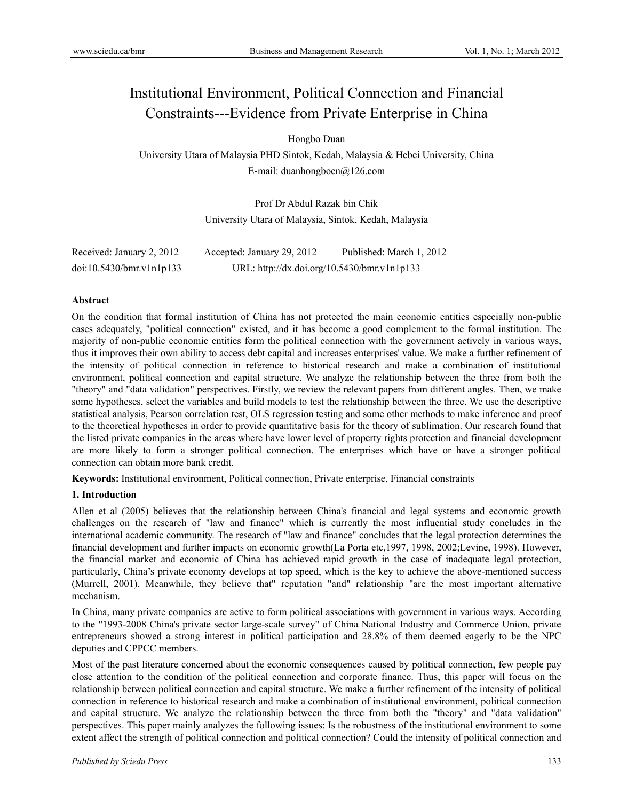# Institutional Environment, Political Connection and Financial Constraints---Evidence from Private Enterprise in China

Hongbo Duan

University Utara of Malaysia PHD Sintok, Kedah, Malaysia & Hebei University, China E-mail: duanhongbocn@126.com

> Prof Dr Abdul Razak bin Chik University Utara of Malaysia, Sintok, Kedah, Malaysia

| Received: January 2, 2012 | Accepted: January 29, 2012                  | Published: March 1, 2012 |
|---------------------------|---------------------------------------------|--------------------------|
| doi:10.5430/bmr.v1n1p133  | URL: http://dx.doi.org/10.5430/bmr.v1n1p133 |                          |

# **Abstract**

On the condition that formal institution of China has not protected the main economic entities especially non-public cases adequately, "political connection" existed, and it has become a good complement to the formal institution. The majority of non-public economic entities form the political connection with the government actively in various ways, thus it improves their own ability to access debt capital and increases enterprises' value. We make a further refinement of the intensity of political connection in reference to historical research and make a combination of institutional environment, political connection and capital structure. We analyze the relationship between the three from both the "theory" and "data validation" perspectives. Firstly, we review the relevant papers from different angles. Then, we make some hypotheses, select the variables and build models to test the relationship between the three. We use the descriptive statistical analysis, Pearson correlation test, OLS regression testing and some other methods to make inference and proof to the theoretical hypotheses in order to provide quantitative basis for the theory of sublimation. Our research found that the listed private companies in the areas where have lower level of property rights protection and financial development are more likely to form a stronger political connection. The enterprises which have or have a stronger political connection can obtain more bank credit.

**Keywords:** Institutional environment, Political connection, Private enterprise, Financial constraints

#### **1. Introduction**

Allen et al (2005) believes that the relationship between China's financial and legal systems and economic growth challenges on the research of "law and finance" which is currently the most influential study concludes in the international academic community. The research of "law and finance" concludes that the legal protection determines the financial development and further impacts on economic growth(La Porta etc,1997, 1998, 2002;Levine, 1998). However, the financial market and economic of China has achieved rapid growth in the case of inadequate legal protection, particularly, China's private economy develops at top speed, which is the key to achieve the above-mentioned success (Murrell, 2001). Meanwhile, they believe that" reputation "and" relationship "are the most important alternative mechanism.

In China, many private companies are active to form political associations with government in various ways. According to the "1993-2008 China's private sector large-scale survey" of China National Industry and Commerce Union, private entrepreneurs showed a strong interest in political participation and 28.8% of them deemed eagerly to be the NPC deputies and CPPCC members.

Most of the past literature concerned about the economic consequences caused by political connection, few people pay close attention to the condition of the political connection and corporate finance. Thus, this paper will focus on the relationship between political connection and capital structure. We make a further refinement of the intensity of political connection in reference to historical research and make a combination of institutional environment, political connection and capital structure. We analyze the relationship between the three from both the "theory" and "data validation" perspectives. This paper mainly analyzes the following issues: Is the robustness of the institutional environment to some extent affect the strength of political connection and political connection? Could the intensity of political connection and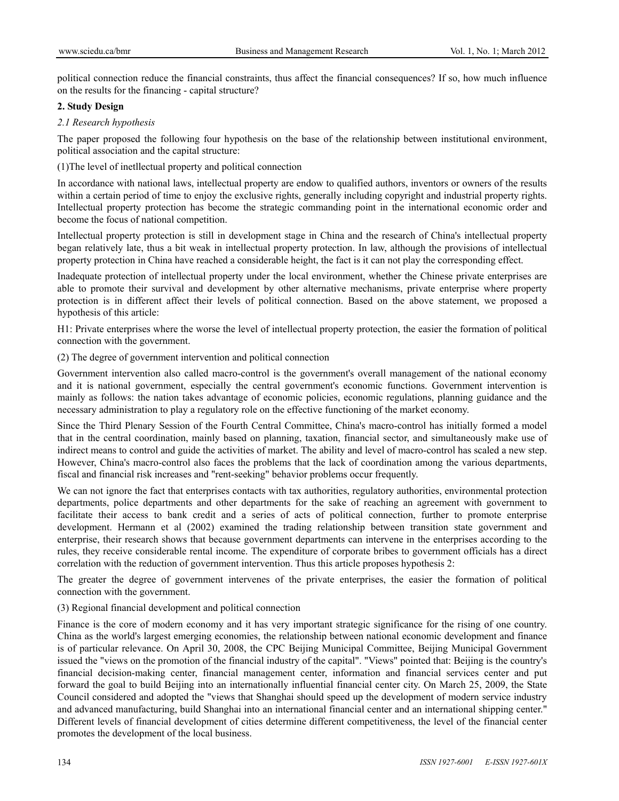political connection reduce the financial constraints, thus affect the financial consequences? If so, how much influence on the results for the financing - capital structure?

# **2. Study Design**

# *2.1 Research hypothesis*

The paper proposed the following four hypothesis on the base of the relationship between institutional environment, political association and the capital structure:

(1)The level of inetllectual property and political connection

In accordance with national laws, intellectual property are endow to qualified authors, inventors or owners of the results within a certain period of time to enjoy the exclusive rights, generally including copyright and industrial property rights. Intellectual property protection has become the strategic commanding point in the international economic order and become the focus of national competition.

Intellectual property protection is still in development stage in China and the research of China's intellectual property began relatively late, thus a bit weak in intellectual property protection. In law, although the provisions of intellectual property protection in China have reached a considerable height, the fact is it can not play the corresponding effect.

Inadequate protection of intellectual property under the local environment, whether the Chinese private enterprises are able to promote their survival and development by other alternative mechanisms, private enterprise where property protection is in different affect their levels of political connection. Based on the above statement, we proposed a hypothesis of this article:

H1: Private enterprises where the worse the level of intellectual property protection, the easier the formation of political connection with the government.

(2) The degree of government intervention and political connection

Government intervention also called macro-control is the government's overall management of the national economy and it is national government, especially the central government's economic functions. Government intervention is mainly as follows: the nation takes advantage of economic policies, economic regulations, planning guidance and the necessary administration to play a regulatory role on the effective functioning of the market economy.

Since the Third Plenary Session of the Fourth Central Committee, China's macro-control has initially formed a model that in the central coordination, mainly based on planning, taxation, financial sector, and simultaneously make use of indirect means to control and guide the activities of market. The ability and level of macro-control has scaled a new step. However, China's macro-control also faces the problems that the lack of coordination among the various departments, fiscal and financial risk increases and "rent-seeking" behavior problems occur frequently.

We can not ignore the fact that enterprises contacts with tax authorities, regulatory authorities, environmental protection departments, police departments and other departments for the sake of reaching an agreement with government to facilitate their access to bank credit and a series of acts of political connection, further to promote enterprise development. Hermann et al (2002) examined the trading relationship between transition state government and enterprise, their research shows that because government departments can intervene in the enterprises according to the rules, they receive considerable rental income. The expenditure of corporate bribes to government officials has a direct correlation with the reduction of government intervention. Thus this article proposes hypothesis 2:

The greater the degree of government intervenes of the private enterprises, the easier the formation of political connection with the government.

(3) Regional financial development and political connection

Finance is the core of modern economy and it has very important strategic significance for the rising of one country. China as the world's largest emerging economies, the relationship between national economic development and finance is of particular relevance. On April 30, 2008, the CPC Beijing Municipal Committee, Beijing Municipal Government issued the "views on the promotion of the financial industry of the capital". "Views" pointed that: Beijing is the country's financial decision-making center, financial management center, information and financial services center and put forward the goal to build Beijing into an internationally influential financial center city. On March 25, 2009, the State Council considered and adopted the "views that Shanghai should speed up the development of modern service industry and advanced manufacturing, build Shanghai into an international financial center and an international shipping center." Different levels of financial development of cities determine different competitiveness, the level of the financial center promotes the development of the local business.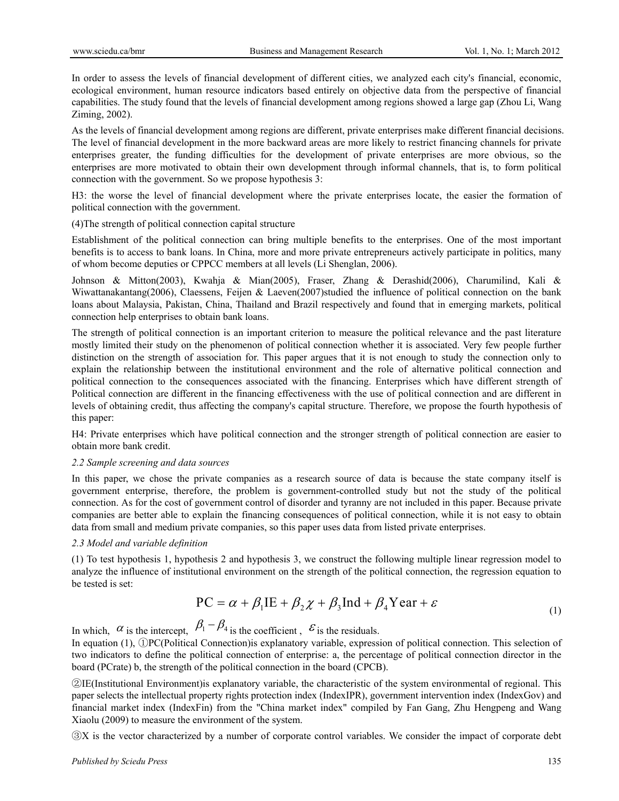In order to assess the levels of financial development of different cities, we analyzed each city's financial, economic, ecological environment, human resource indicators based entirely on objective data from the perspective of financial capabilities. The study found that the levels of financial development among regions showed a large gap (Zhou Li, Wang Ziming, 2002).

As the levels of financial development among regions are different, private enterprises make different financial decisions. The level of financial development in the more backward areas are more likely to restrict financing channels for private enterprises greater, the funding difficulties for the development of private enterprises are more obvious, so the enterprises are more motivated to obtain their own development through informal channels, that is, to form political connection with the government. So we propose hypothesis 3:

H3: the worse the level of financial development where the private enterprises locate, the easier the formation of political connection with the government.

(4)The strength of political connection capital structure

Establishment of the political connection can bring multiple benefits to the enterprises. One of the most important benefits is to access to bank loans. In China, more and more private entrepreneurs actively participate in politics, many of whom become deputies or CPPCC members at all levels (Li Shenglan, 2006).

Johnson & Mitton(2003), Kwahja & Mian(2005), Fraser, Zhang & Derashid(2006), Charumilind, Kali & Wiwattanakantang(2006), Claessens, Feijen & Laeven(2007)studied the influence of political connection on the bank loans about Malaysia, Pakistan, China, Thailand and Brazil respectively and found that in emerging markets, political connection help enterprises to obtain bank loans.

The strength of political connection is an important criterion to measure the political relevance and the past literature mostly limited their study on the phenomenon of political connection whether it is associated. Very few people further distinction on the strength of association for. This paper argues that it is not enough to study the connection only to explain the relationship between the institutional environment and the role of alternative political connection and political connection to the consequences associated with the financing. Enterprises which have different strength of Political connection are different in the financing effectiveness with the use of political connection and are different in levels of obtaining credit, thus affecting the company's capital structure. Therefore, we propose the fourth hypothesis of this paper:

H4: Private enterprises which have political connection and the stronger strength of political connection are easier to obtain more bank credit.

## *2.2 Sample screening and data sources*

In this paper, we chose the private companies as a research source of data is because the state company itself is government enterprise, therefore, the problem is government-controlled study but not the study of the political connection. As for the cost of government control of disorder and tyranny are not included in this paper. Because private companies are better able to explain the financing consequences of political connection, while it is not easy to obtain data from small and medium private companies, so this paper uses data from listed private enterprises.

*2.3 Model and variable definition* 

(1) To test hypothesis 1, hypothesis 2 and hypothesis 3, we construct the following multiple linear regression model to analyze the influence of institutional environment on the strength of the political connection, the regression equation to be tested is set:

$$
PC = \alpha + \beta_1 IE + \beta_2 \chi + \beta_3 Ind + \beta_4 Year + \varepsilon
$$
\n(1)

In which,  $\alpha$  is the intercept,  $\beta_1 - \beta_4$  is the coefficient,  $\epsilon$  is the residuals.

In equation (1), ①PC(Political Connection)is explanatory variable, expression of political connection. This selection of two indicators to define the political connection of enterprise: a, the percentage of political connection director in the board (PCrate) b, the strength of the political connection in the board (CPCB).

②IE(Institutional Environment)is explanatory variable, the characteristic of the system environmental of regional. This paper selects the intellectual property rights protection index (IndexIPR), government intervention index (IndexGov) and financial market index (IndexFin) from the "China market index" compiled by Fan Gang, Zhu Hengpeng and Wang Xiaolu (2009) to measure the environment of the system.

③Χ is the vector characterized by a number of corporate control variables. We consider the impact of corporate debt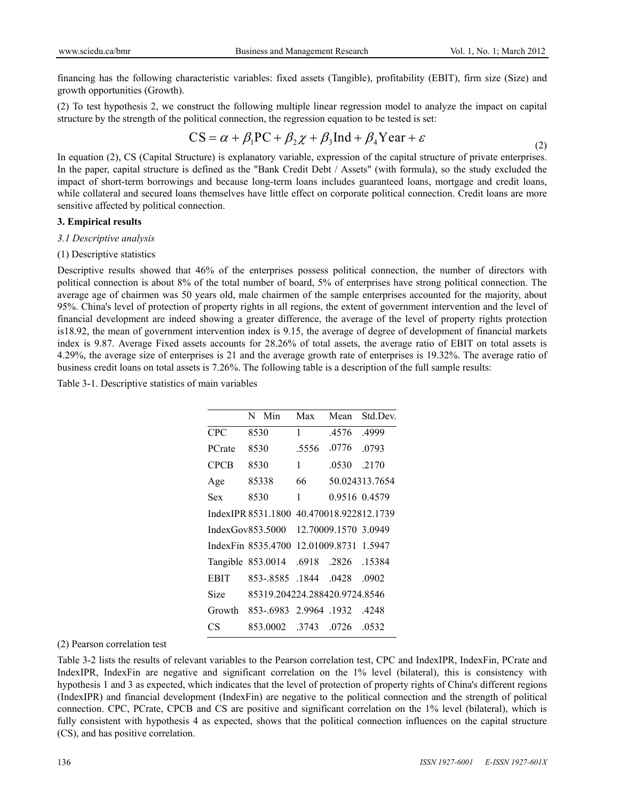financing has the following characteristic variables: fixed assets (Tangible), profitability (EBIT), firm size (Size) and growth opportunities (Growth).

(2) To test hypothesis 2, we construct the following multiple linear regression model to analyze the impact on capital structure by the strength of the political connection, the regression equation to be tested is set:

$$
CS = \alpha + \beta_1 PC + \beta_2 \chi + \beta_3 Ind + \beta_4 Year + \varepsilon
$$
\n(2)

In equation (2), CS (Capital Structure) is explanatory variable, expression of the capital structure of private enterprises. In the paper, capital structure is defined as the "Bank Credit Debt / Assets" (with formula), so the study excluded the impact of short-term borrowings and because long-term loans includes guaranteed loans, mortgage and credit loans, while collateral and secured loans themselves have little effect on corporate political connection. Credit loans are more sensitive affected by political connection.

# **3. Empirical results**

#### *3.1 Descriptive analysis*

#### (1) Descriptive statistics

Descriptive results showed that 46% of the enterprises possess political connection, the number of directors with political connection is about 8% of the total number of board, 5% of enterprises have strong political connection. The average age of chairmen was 50 years old, male chairmen of the sample enterprises accounted for the majority, about 95%. China's level of protection of property rights in all regions, the extent of government intervention and the level of financial development are indeed showing a greater difference, the average of the level of property rights protection is18.92, the mean of government intervention index is 9.15, the average of degree of development of financial markets index is 9.87. Average Fixed assets accounts for 28.26% of total assets, the average ratio of EBIT on total assets is 4.29%, the average size of enterprises is 21 and the average growth rate of enterprises is 19.32%. The average ratio of business credit loans on total assets is 7.26%. The following table is a description of the full sample results:

Table 3-1. Descriptive statistics of main variables

|                                         |       | N Min    | Max                           | Mean                 | Std.Dev.              |
|-----------------------------------------|-------|----------|-------------------------------|----------------------|-----------------------|
| <b>CPC</b>                              | 8530  |          | 1                             | .4576                | .4999                 |
| PCrate                                  | 8530  |          | .5556                         | .0776                | .0793                 |
| <b>CPCB</b>                             | 8530  |          | 1                             | .0530                | 2170                  |
| Age                                     | 85338 |          | 66                            |                      | 50.024313.7654        |
| Sex                                     | 8530  |          | 1                             | 0.9516 0.4579        |                       |
| Index IPR 8531.1800                     |       |          |                               |                      | 40.470018.922812.1739 |
| Index $Gov853.5000$                     |       |          |                               | 12.70009.1570 3.0949 |                       |
| IndexFin 8535.4700 12.01009.8731 1.5947 |       |          |                               |                      |                       |
| Tangible 853.0014                       |       |          | .6918                         | .2826                | .15384                |
| <b>EBIT</b>                             |       | 853-8585 | .1844                         | .0428                | 0902                  |
| Size                                    |       |          | 85319.204224.288420.9724.8546 |                      |                       |
| Growth                                  |       |          | 853-6983 2.9964 1932          |                      | .4248                 |
| CS                                      |       | 853.0002 | 3743                          | .0726                | .0532                 |

# (2) Pearson correlation test

Table 3-2 lists the results of relevant variables to the Pearson correlation test, CPC and IndexIPR, IndexFin, PCrate and IndexIPR, IndexFin are negative and significant correlation on the 1% level (bilateral), this is consistency with hypothesis 1 and 3 as expected, which indicates that the level of protection of property rights of China's different regions (IndexIPR) and financial development (IndexFin) are negative to the political connection and the strength of political connection. CPC, PCrate, CPCB and CS are positive and significant correlation on the 1% level (bilateral), which is fully consistent with hypothesis 4 as expected, shows that the political connection influences on the capital structure (CS), and has positive correlation.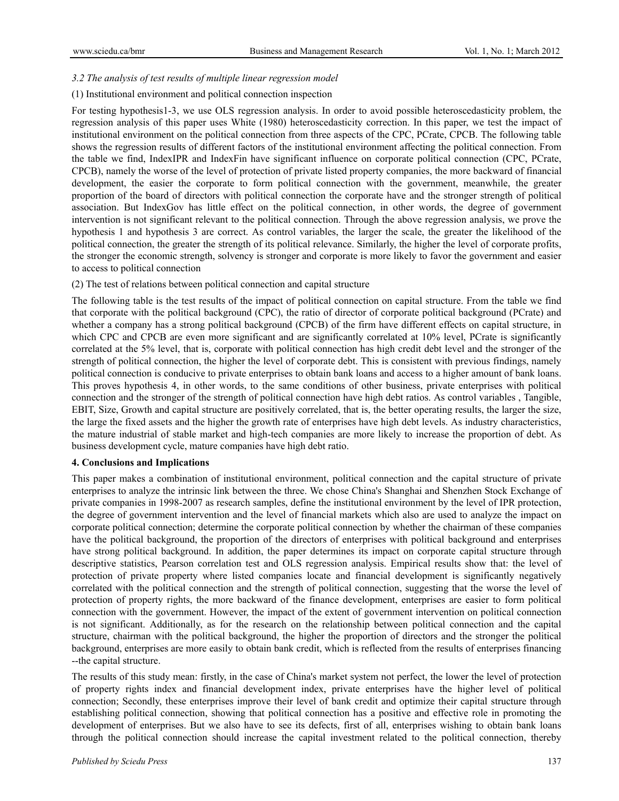# *3.2 The analysis of test results of multiple linear regression model*

## (1) Institutional environment and political connection inspection

For testing hypothesis1-3, we use OLS regression analysis. In order to avoid possible heteroscedasticity problem, the regression analysis of this paper uses White (1980) heteroscedasticity correction. In this paper, we test the impact of institutional environment on the political connection from three aspects of the CPC, PCrate, CPCB. The following table shows the regression results of different factors of the institutional environment affecting the political connection. From the table we find, IndexIPR and IndexFin have significant influence on corporate political connection (CPC, PCrate, CPCB), namely the worse of the level of protection of private listed property companies, the more backward of financial development, the easier the corporate to form political connection with the government, meanwhile, the greater proportion of the board of directors with political connection the corporate have and the stronger strength of political association. But IndexGov has little effect on the political connection, in other words, the degree of government intervention is not significant relevant to the political connection. Through the above regression analysis, we prove the hypothesis 1 and hypothesis 3 are correct. As control variables, the larger the scale, the greater the likelihood of the political connection, the greater the strength of its political relevance. Similarly, the higher the level of corporate profits, the stronger the economic strength, solvency is stronger and corporate is more likely to favor the government and easier to access to political connection

#### (2) The test of relations between political connection and capital structure

The following table is the test results of the impact of political connection on capital structure. From the table we find that corporate with the political background (CPC), the ratio of director of corporate political background (PCrate) and whether a company has a strong political background (CPCB) of the firm have different effects on capital structure, in which CPC and CPCB are even more significant and are significantly correlated at 10% level, PCrate is significantly correlated at the 5% level, that is, corporate with political connection has high credit debt level and the stronger of the strength of political connection, the higher the level of corporate debt. This is consistent with previous findings, namely political connection is conducive to private enterprises to obtain bank loans and access to a higher amount of bank loans. This proves hypothesis 4, in other words, to the same conditions of other business, private enterprises with political connection and the stronger of the strength of political connection have high debt ratios. As control variables , Tangible, EBIT, Size, Growth and capital structure are positively correlated, that is, the better operating results, the larger the size, the large the fixed assets and the higher the growth rate of enterprises have high debt levels. As industry characteristics, the mature industrial of stable market and high-tech companies are more likely to increase the proportion of debt. As business development cycle, mature companies have high debt ratio.

## **4. Conclusions and Implications**

This paper makes a combination of institutional environment, political connection and the capital structure of private enterprises to analyze the intrinsic link between the three. We chose China's Shanghai and Shenzhen Stock Exchange of private companies in 1998-2007 as research samples, define the institutional environment by the level of IPR protection, the degree of government intervention and the level of financial markets which also are used to analyze the impact on corporate political connection; determine the corporate political connection by whether the chairman of these companies have the political background, the proportion of the directors of enterprises with political background and enterprises have strong political background. In addition, the paper determines its impact on corporate capital structure through descriptive statistics, Pearson correlation test and OLS regression analysis. Empirical results show that: the level of protection of private property where listed companies locate and financial development is significantly negatively correlated with the political connection and the strength of political connection, suggesting that the worse the level of protection of property rights, the more backward of the finance development, enterprises are easier to form political connection with the government. However, the impact of the extent of government intervention on political connection is not significant. Additionally, as for the research on the relationship between political connection and the capital structure, chairman with the political background, the higher the proportion of directors and the stronger the political background, enterprises are more easily to obtain bank credit, which is reflected from the results of enterprises financing --the capital structure.

The results of this study mean: firstly, in the case of China's market system not perfect, the lower the level of protection of property rights index and financial development index, private enterprises have the higher level of political connection; Secondly, these enterprises improve their level of bank credit and optimize their capital structure through establishing political connection, showing that political connection has a positive and effective role in promoting the development of enterprises. But we also have to see its defects, first of all, enterprises wishing to obtain bank loans through the political connection should increase the capital investment related to the political connection, thereby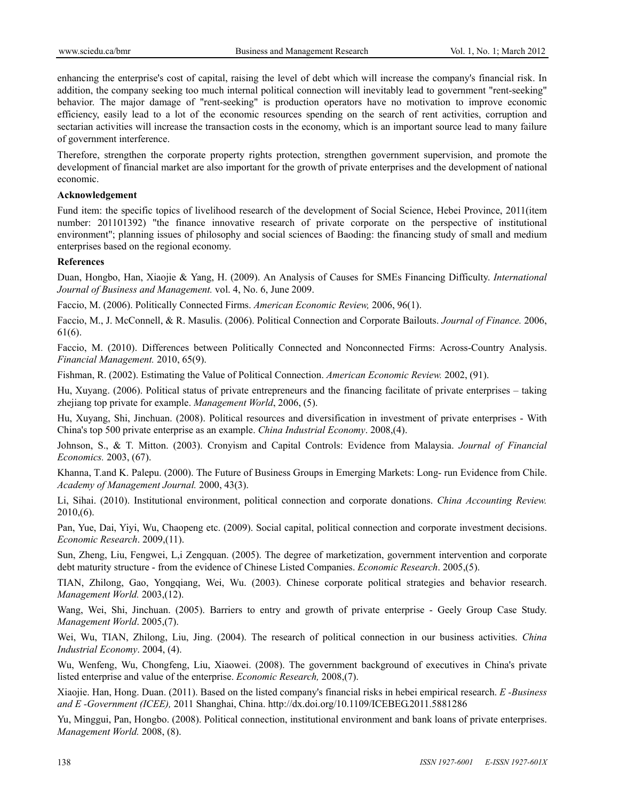enhancing the enterprise's cost of capital, raising the level of debt which will increase the company's financial risk. In addition, the company seeking too much internal political connection will inevitably lead to government "rent-seeking" behavior. The major damage of "rent-seeking" is production operators have no motivation to improve economic efficiency, easily lead to a lot of the economic resources spending on the search of rent activities, corruption and sectarian activities will increase the transaction costs in the economy, which is an important source lead to many failure of government interference.

Therefore, strengthen the corporate property rights protection, strengthen government supervision, and promote the development of financial market are also important for the growth of private enterprises and the development of national economic.

# **Acknowledgement**

Fund item: the specific topics of livelihood research of the development of Social Science, Hebei Province, 2011(item number: 201101392) "the finance innovative research of private corporate on the perspective of institutional environment"; planning issues of philosophy and social sciences of Baoding: the financing study of small and medium enterprises based on the regional economy.

# **References**

Duan, Hongbo, Han, Xiaojie & Yang, H. (2009). An Analysis of Causes for SMEs Financing Difficulty. *International Journal of Business and Management.* vol. 4, No. 6, June 2009.

Faccio, M. (2006). Politically Connected Firms. *American Economic Review,* 2006, 96(1).

Faccio, M., J. McConnell, & R. Masulis. (2006). Political Connection and Corporate Bailouts. *Journal of Finance.* 2006, 61(6).

Faccio, M. (2010). Differences between Politically Connected and Nonconnected Firms: Across-Country Analysis. *Financial Management.* 2010, 65(9).

Fishman, R. (2002). Estimating the Value of Political Connection. *American Economic Review.* 2002, (91).

Hu, Xuyang. (2006). Political status of private entrepreneurs and the financing facilitate of private enterprises – taking zhejiang top private for example. *Management World*, 2006, (5).

Hu, Xuyang, Shi, Jinchuan. (2008). Political resources and diversification in investment of private enterprises - With China's top 500 private enterprise as an example. *China Industrial Economy*. 2008,(4).

Johnson, S., & T. Mitton. (2003). Cronyism and Capital Controls: Evidence from Malaysia. *Journal of Financial Economics.* 2003, (67).

Khanna, T.and K. Palepu. (2000). The Future of Business Groups in Emerging Markets: Long- run Evidence from Chile. *Academy of Management Journal.* 2000, 43(3).

Li, Sihai. (2010). Institutional environment, political connection and corporate donations. *China Accounting Review.*  2010,(6).

Pan, Yue, Dai, Yiyi, Wu, Chaopeng etc. (2009). Social capital, political connection and corporate investment decisions. *Economic Research*. 2009,(11).

Sun, Zheng, Liu, Fengwei, L,i Zengquan. (2005). The degree of marketization, government intervention and corporate debt maturity structure - from the evidence of Chinese Listed Companies. *Economic Research*. 2005,(5).

TIAN, Zhilong, Gao, Yongqiang, Wei, Wu. (2003). Chinese corporate political strategies and behavior research. *Management World.* 2003,(12).

Wang, Wei, Shi, Jinchuan. (2005). Barriers to entry and growth of private enterprise - Geely Group Case Study. *Management World*. 2005,(7).

Wei, Wu, TIAN, Zhilong, Liu, Jing. (2004). The research of political connection in our business activities. *China Industrial Economy*. 2004, (4).

Wu, Wenfeng, Wu, Chongfeng, Liu, Xiaowei. (2008). The government background of executives in China's private listed enterprise and value of the enterprise. *Economic Research,* 2008,(7).

Xiaojie. Han, Hong. Duan. (2011). Based on the listed company's financial risks in hebei empirical research. *E -Business and E -Government (ICEE),* 2011 Shanghai, China. http://dx.doi.org/10.1109/ICEBEG.2011.5881286

Yu, Minggui, Pan, Hongbo. (2008). Political connection, institutional environment and bank loans of private enterprises. *Management World.* 2008, (8).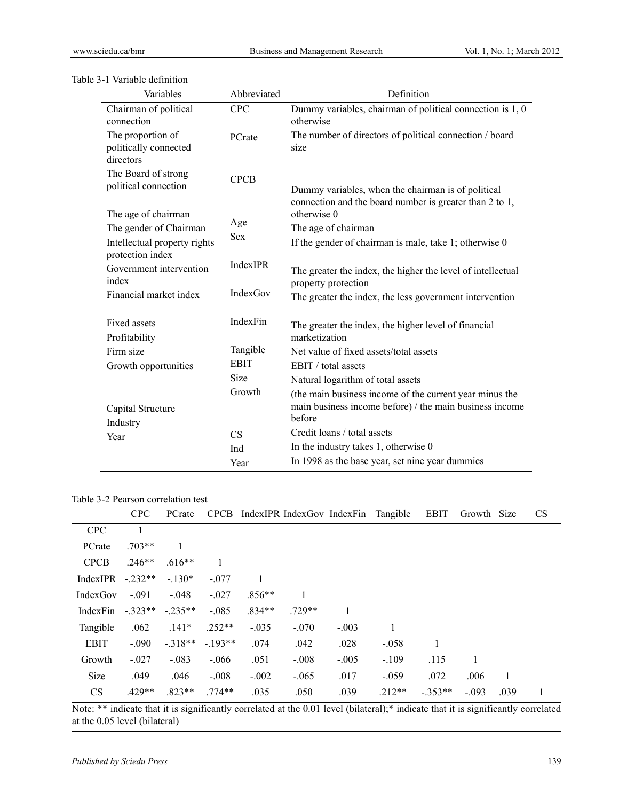# Table 3-1 Variable definition

| Variables                                        | Abbreviated | Definition                                                                         |  |  |  |  |
|--------------------------------------------------|-------------|------------------------------------------------------------------------------------|--|--|--|--|
| Chairman of political                            | <b>CPC</b>  | Dummy variables, chairman of political connection is 1, 0                          |  |  |  |  |
| connection                                       |             | otherwise                                                                          |  |  |  |  |
| The proportion of                                | PCrate      | The number of directors of political connection / board                            |  |  |  |  |
| politically connected                            |             | size                                                                               |  |  |  |  |
| directors                                        |             |                                                                                    |  |  |  |  |
| The Board of strong<br>political connection      | <b>CPCB</b> |                                                                                    |  |  |  |  |
|                                                  |             | Dummy variables, when the chairman is of political                                 |  |  |  |  |
|                                                  |             | connection and the board number is greater than 2 to 1,<br>otherwise 0             |  |  |  |  |
| The age of chairman<br>The gender of Chairman    | Age         |                                                                                    |  |  |  |  |
|                                                  | <b>Sex</b>  | The age of chairman                                                                |  |  |  |  |
| Intellectual property rights<br>protection index |             | If the gender of chairman is male, take 1; otherwise 0                             |  |  |  |  |
| Government intervention                          | IndexIPR    |                                                                                    |  |  |  |  |
| index                                            |             | The greater the index, the higher the level of intellectual<br>property protection |  |  |  |  |
| Financial market index                           | IndexGov    | The greater the index, the less government intervention                            |  |  |  |  |
|                                                  |             |                                                                                    |  |  |  |  |
| <b>Fixed assets</b>                              | IndexFin    | The greater the index, the higher level of financial                               |  |  |  |  |
| Profitability                                    |             | marketization                                                                      |  |  |  |  |
| Firm size                                        | Tangible    | Net value of fixed assets/total assets                                             |  |  |  |  |
| Growth opportunities                             | <b>EBIT</b> | EBIT / total assets                                                                |  |  |  |  |
|                                                  | <b>Size</b> | Natural logarithm of total assets                                                  |  |  |  |  |
|                                                  | Growth      | (the main business income of the current year minus the                            |  |  |  |  |
| Capital Structure                                |             | main business income before) / the main business income                            |  |  |  |  |
| Industry                                         |             | before                                                                             |  |  |  |  |
| Year                                             | CS          | Credit loans / total assets                                                        |  |  |  |  |
|                                                  | Ind         | In the industry takes 1, otherwise 0                                               |  |  |  |  |
|                                                  | Year        | In 1998 as the base year, set nine year dummies                                    |  |  |  |  |

## Table 3-2 Pearson correlation test

|             | <b>CPC</b> | PCrate       |          |          | CPCB IndexIPR IndexGov IndexFin Tangible |         |          | EBIT     | Growth Size |      | <b>CS</b> |
|-------------|------------|--------------|----------|----------|------------------------------------------|---------|----------|----------|-------------|------|-----------|
| <b>CPC</b>  |            |              |          |          |                                          |         |          |          |             |      |           |
| PCrate      | $.703**$   | $\mathbf{1}$ |          |          |                                          |         |          |          |             |      |           |
| <b>CPCB</b> | $.246**$   | $.616**$     |          |          |                                          |         |          |          |             |      |           |
| IndexIPR    | $-.232**$  | $-.130*$     | $-.077$  |          |                                          |         |          |          |             |      |           |
| IndexGov    | $-.091$    | $-.048$      | $-.027$  | $.856**$ |                                          |         |          |          |             |      |           |
| IndexFin    | $-323**$   | $-235**$     | $-.085$  | $.834**$ | 729**                                    |         |          |          |             |      |           |
| Tangible    | .062       | $.141*$      | $.252**$ | $-.035$  | $-.070$                                  | $-.003$ |          |          |             |      |           |
| <b>EBIT</b> | $-.090$    | $-318**$     | $-193**$ | .074     | .042                                     | .028    | $-.058$  |          |             |      |           |
| Growth      | $-.027$    | $-.083$      | $-.066$  | .051     | $-.008$                                  | $-.005$ | $-.109$  | .115     |             |      |           |
| <b>Size</b> | .049       | .046         | $-.008$  | $-.002$  | $-.065$                                  | .017    | $-.059$  | .072     | .006        | -1   |           |
| CS          | $.429**$   | $.823**$     | $774**$  | .035     | .050                                     | .039    | $.212**$ | $-353**$ | $-.093$     | .039 |           |

Note: \*\* indicate that it is significantly correlated at the 0.01 level (bilateral);\* indicate that it is significantly correlated at the 0.05 level (bilateral)